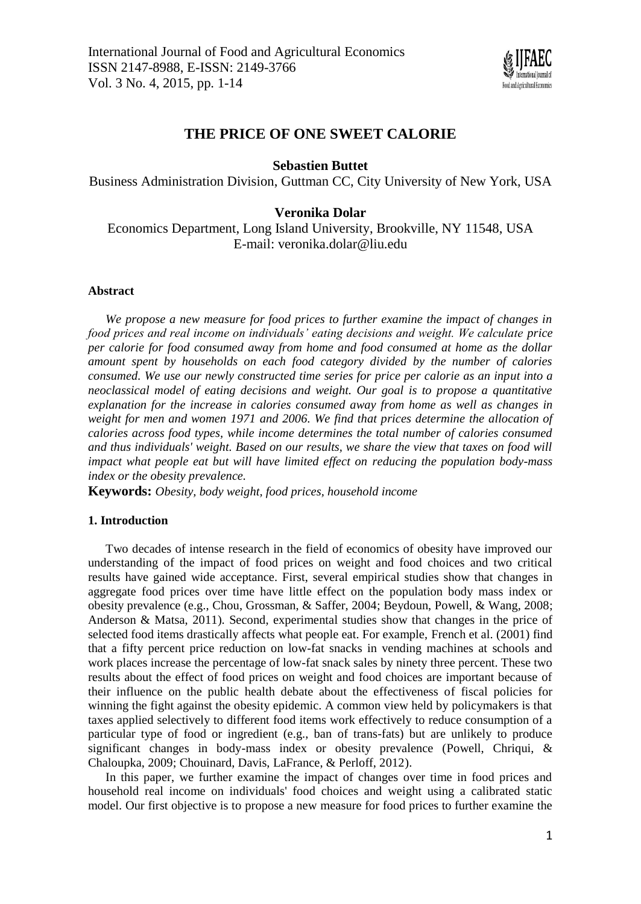

# **THE PRICE OF ONE SWEET CALORIE**

## **Sebastien Buttet**

Business Administration Division, Guttman CC, City University of New York, USA

## **Veronika Dolar**

Economics Department, Long Island University, Brookville, NY 11548, USA E-mail: veronika.dolar@liu.edu

## **Abstract**

*We propose a new measure for food prices to further examine the impact of changes in food prices and real income on individuals' eating decisions and weight. We calculate price per calorie for food consumed away from home and food consumed at home as the dollar amount spent by households on each food category divided by the number of calories consumed. We use our newly constructed time series for price per calorie as an input into a neoclassical model of eating decisions and weight. Our goal is to propose a quantitative explanation for the increase in calories consumed away from home as well as changes in weight for men and women 1971 and 2006. We find that prices determine the allocation of calories across food types, while income determines the total number of calories consumed and thus individuals' weight. Based on our results, we share the view that taxes on food will impact what people eat but will have limited effect on reducing the population body-mass index or the obesity prevalence.*

**Keywords:** *Obesity, body weight, food prices, household income*

## **1. Introduction**

Two decades of intense research in the field of economics of obesity have improved our understanding of the impact of food prices on weight and food choices and two critical results have gained wide acceptance. First, several empirical studies show that changes in aggregate food prices over time have little effect on the population body mass index or obesity prevalence (e.g., Chou, Grossman, & Saffer, 2004; Beydoun, Powell, & Wang, 2008; Anderson & Matsa, 2011). Second, experimental studies show that changes in the price of selected food items drastically affects what people eat. For example, French et al. (2001) find that a fifty percent price reduction on low-fat snacks in vending machines at schools and work places increase the percentage of low-fat snack sales by ninety three percent. These two results about the effect of food prices on weight and food choices are important because of their influence on the public health debate about the effectiveness of fiscal policies for winning the fight against the obesity epidemic. A common view held by policymakers is that taxes applied selectively to different food items work effectively to reduce consumption of a particular type of food or ingredient (e.g., ban of trans-fats) but are unlikely to produce significant changes in body-mass index or obesity prevalence (Powell, Chriqui, & Chaloupka, 2009; Chouinard, Davis, LaFrance, & Perloff, 2012).

In this paper, we further examine the impact of changes over time in food prices and household real income on individuals' food choices and weight using a calibrated static model. Our first objective is to propose a new measure for food prices to further examine the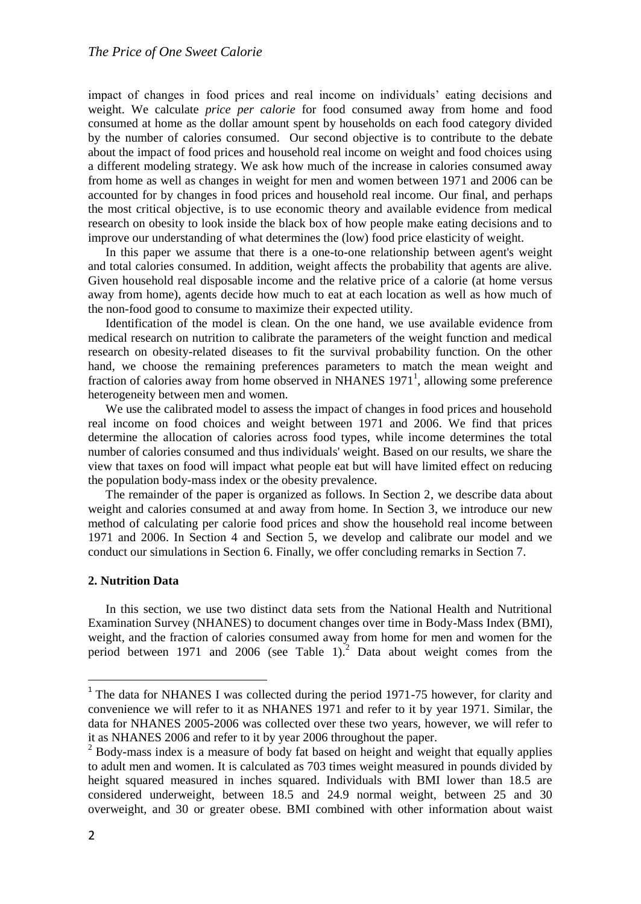impact of changes in food prices and real income on individuals' eating decisions and weight. We calculate *price per calorie* for food consumed away from home and food consumed at home as the dollar amount spent by households on each food category divided by the number of calories consumed. Our second objective is to contribute to the debate about the impact of food prices and household real income on weight and food choices using a different modeling strategy. We ask how much of the increase in calories consumed away from home as well as changes in weight for men and women between 1971 and 2006 can be accounted for by changes in food prices and household real income. Our final, and perhaps the most critical objective, is to use economic theory and available evidence from medical research on obesity to look inside the black box of how people make eating decisions and to improve our understanding of what determines the (low) food price elasticity of weight.

In this paper we assume that there is a one-to-one relationship between agent's weight and total calories consumed. In addition, weight affects the probability that agents are alive. Given household real disposable income and the relative price of a calorie (at home versus away from home), agents decide how much to eat at each location as well as how much of the non-food good to consume to maximize their expected utility.

Identification of the model is clean. On the one hand, we use available evidence from medical research on nutrition to calibrate the parameters of the weight function and medical research on obesity-related diseases to fit the survival probability function. On the other hand, we choose the remaining preferences parameters to match the mean weight and fraction of calories away from home observed in NHANES  $1971<sup>1</sup>$ , allowing some preference heterogeneity between men and women.

We use the calibrated model to assess the impact of changes in food prices and household real income on food choices and weight between 1971 and 2006. We find that prices determine the allocation of calories across food types, while income determines the total number of calories consumed and thus individuals' weight. Based on our results, we share the view that taxes on food will impact what people eat but will have limited effect on reducing the population body-mass index or the obesity prevalence.

The remainder of the paper is organized as follows. In Section 2, we describe data about weight and calories consumed at and away from home. In Section 3, we introduce our new method of calculating per calorie food prices and show the household real income between 1971 and 2006. In Section 4 and Section 5, we develop and calibrate our model and we conduct our simulations in Section 6. Finally, we offer concluding remarks in Section 7.

## **2. Nutrition Data**

In this section, we use two distinct data sets from the National Health and Nutritional Examination Survey (NHANES) to document changes over time in Body-Mass Index (BMI), weight, and the fraction of calories consumed away from home for men and women for the period between 1971 and 2006 (see Table 1).<sup>2</sup> Data about weight comes from the

<sup>&</sup>lt;sup>1</sup> The data for NHANES I was collected during the period 1971-75 however, for clarity and convenience we will refer to it as NHANES 1971 and refer to it by year 1971. Similar, the data for NHANES 2005-2006 was collected over these two years, however, we will refer to it as NHANES 2006 and refer to it by year 2006 throughout the paper.

<sup>&</sup>lt;sup>2</sup> Body-mass index is a measure of body fat based on height and weight that equally applies to adult men and women. It is calculated as 703 times weight measured in pounds divided by height squared measured in inches squared. Individuals with BMI lower than 18.5 are considered underweight, between 18.5 and 24.9 normal weight, between 25 and 30 overweight, and 30 or greater obese. BMI combined with other information about waist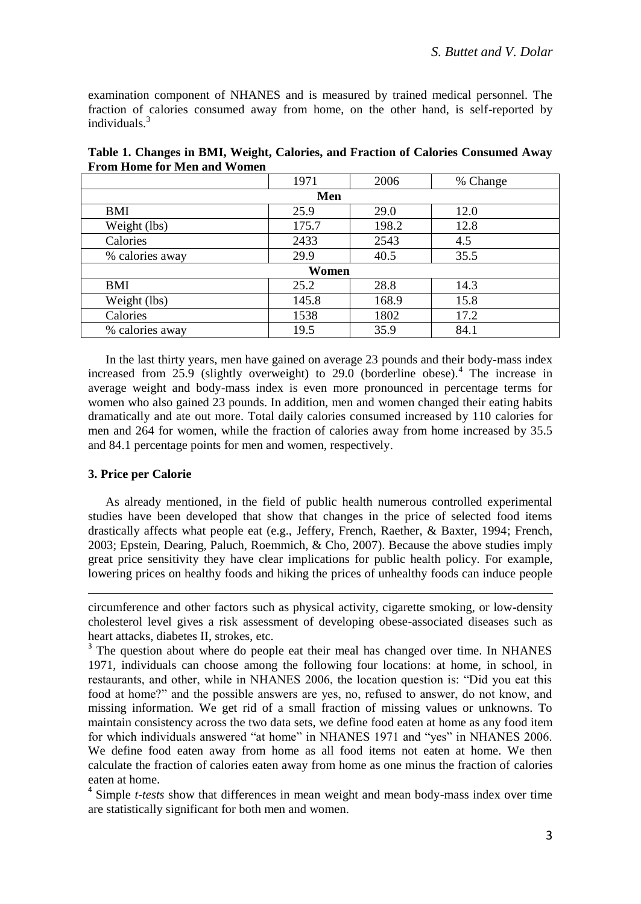examination component of NHANES and is measured by trained medical personnel. The fraction of calories consumed away from home, on the other hand, is self-reported by individuals.<sup>3</sup>

|                 | 1971  | 2006  | % Change |  |  |  |  |  |
|-----------------|-------|-------|----------|--|--|--|--|--|
| Men             |       |       |          |  |  |  |  |  |
| BMI             | 25.9  | 29.0  | 12.0     |  |  |  |  |  |
| Weight (lbs)    | 175.7 | 198.2 | 12.8     |  |  |  |  |  |
| Calories        | 2433  | 2543  | 4.5      |  |  |  |  |  |
| % calories away | 29.9  | 40.5  | 35.5     |  |  |  |  |  |
| Women           |       |       |          |  |  |  |  |  |
| BMI             | 25.2  | 28.8  | 14.3     |  |  |  |  |  |
| Weight (lbs)    | 145.8 | 168.9 | 15.8     |  |  |  |  |  |
| Calories        | 1538  | 1802  | 17.2     |  |  |  |  |  |
| % calories away | 19.5  | 35.9  | 84.1     |  |  |  |  |  |

**Table 1. Changes in BMI, Weight, Calories, and Fraction of Calories Consumed Away From Home for Men and Women**

In the last thirty years, men have gained on average 23 pounds and their body-mass index increased from 25.9 (slightly overweight) to 29.0 (borderline obese).<sup>4</sup> The increase in average weight and body-mass index is even more pronounced in percentage terms for women who also gained 23 pounds. In addition, men and women changed their eating habits dramatically and ate out more. Total daily calories consumed increased by 110 calories for men and 264 for women, while the fraction of calories away from home increased by 35.5 and 84.1 percentage points for men and women, respectively.

## **3. Price per Calorie**

 $\overline{\phantom{a}}$ 

As already mentioned, in the field of public health numerous controlled experimental studies have been developed that show that changes in the price of selected food items drastically affects what people eat (e.g., Jeffery, French, Raether, & Baxter, 1994; French, 2003; Epstein, Dearing, Paluch, Roemmich, & Cho, 2007). Because the above studies imply great price sensitivity they have clear implications for public health policy. For example, lowering prices on healthy foods and hiking the prices of unhealthy foods can induce people

circumference and other factors such as physical activity, cigarette smoking, or low-density cholesterol level gives a risk assessment of developing obese-associated diseases such as heart attacks, diabetes II, strokes, etc.

<sup>&</sup>lt;sup>3</sup> The question about where do people eat their meal has changed over time. In NHANES 1971, individuals can choose among the following four locations: at home, in school, in restaurants, and other, while in NHANES 2006, the location question is: "Did you eat this food at home?" and the possible answers are yes, no, refused to answer, do not know, and missing information. We get rid of a small fraction of missing values or unknowns. To maintain consistency across the two data sets, we define food eaten at home as any food item for which individuals answered "at home" in NHANES 1971 and "yes" in NHANES 2006. We define food eaten away from home as all food items not eaten at home. We then calculate the fraction of calories eaten away from home as one minus the fraction of calories eaten at home.

<sup>4</sup> Simple *t-tests* show that differences in mean weight and mean body-mass index over time are statistically significant for both men and women.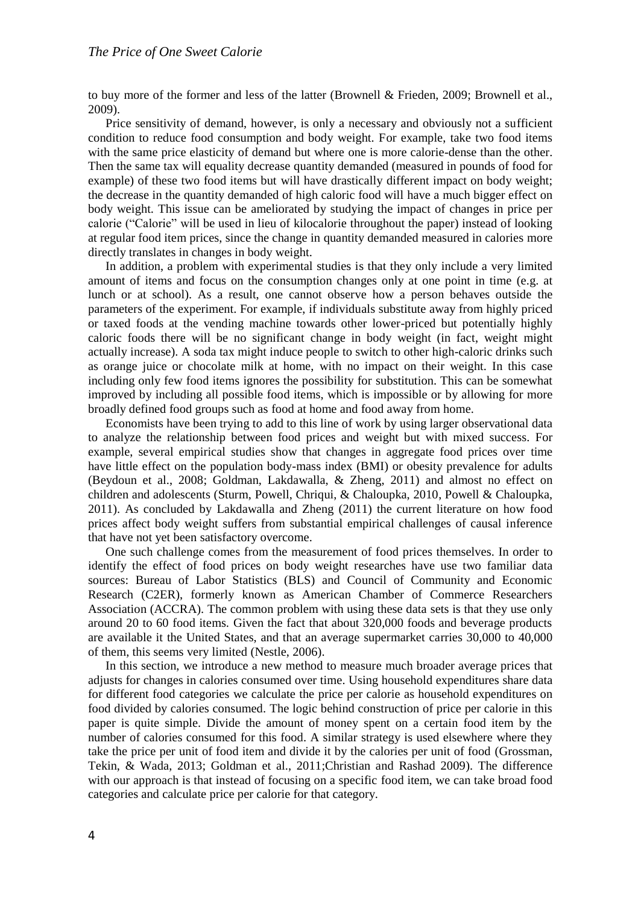to buy more of the former and less of the latter (Brownell & Frieden, 2009; Brownell et al., 2009).

Price sensitivity of demand, however, is only a necessary and obviously not a sufficient condition to reduce food consumption and body weight. For example, take two food items with the same price elasticity of demand but where one is more calorie-dense than the other. Then the same tax will equality decrease quantity demanded (measured in pounds of food for example) of these two food items but will have drastically different impact on body weight; the decrease in the quantity demanded of high caloric food will have a much bigger effect on body weight. This issue can be ameliorated by studying the impact of changes in price per calorie ("Calorie" will be used in lieu of kilocalorie throughout the paper) instead of looking at regular food item prices, since the change in quantity demanded measured in calories more directly translates in changes in body weight.

In addition, a problem with experimental studies is that they only include a very limited amount of items and focus on the consumption changes only at one point in time (e.g. at lunch or at school). As a result, one cannot observe how a person behaves outside the parameters of the experiment. For example, if individuals substitute away from highly priced or taxed foods at the vending machine towards other lower-priced but potentially highly caloric foods there will be no significant change in body weight (in fact, weight might actually increase). A soda tax might induce people to switch to other high-caloric drinks such as orange juice or chocolate milk at home, with no impact on their weight. In this case including only few food items ignores the possibility for substitution. This can be somewhat improved by including all possible food items, which is impossible or by allowing for more broadly defined food groups such as food at home and food away from home.

Economists have been trying to add to this line of work by using larger observational data to analyze the relationship between food prices and weight but with mixed success. For example, several empirical studies show that changes in aggregate food prices over time have little effect on the population body-mass index (BMI) or obesity prevalence for adults (Beydoun et al., 2008; Goldman, Lakdawalla, & Zheng, 2011) and almost no effect on children and adolescents (Sturm, Powell, Chriqui, & Chaloupka, 2010, Powell & Chaloupka, 2011). As concluded by Lakdawalla and Zheng (2011) the current literature on how food prices affect body weight suffers from substantial empirical challenges of causal inference that have not yet been satisfactory overcome.

One such challenge comes from the measurement of food prices themselves. In order to identify the effect of food prices on body weight researches have use two familiar data sources: Bureau of Labor Statistics (BLS) and Council of Community and Economic Research (C2ER), formerly known as American Chamber of Commerce Researchers Association (ACCRA). The common problem with using these data sets is that they use only around 20 to 60 food items. Given the fact that about 320,000 foods and beverage products are available it the United States, and that an average supermarket carries 30,000 to 40,000 of them, this seems very limited (Nestle, 2006).

In this section, we introduce a new method to measure much broader average prices that adjusts for changes in calories consumed over time. Using household expenditures share data for different food categories we calculate the price per calorie as household expenditures on food divided by calories consumed. The logic behind construction of price per calorie in this paper is quite simple. Divide the amount of money spent on a certain food item by the number of calories consumed for this food. A similar strategy is used elsewhere where they take the price per unit of food item and divide it by the calories per unit of food (Grossman, Tekin, & Wada, 2013; Goldman et al., 2011;Christian and Rashad 2009). The difference with our approach is that instead of focusing on a specific food item, we can take broad food categories and calculate price per calorie for that category.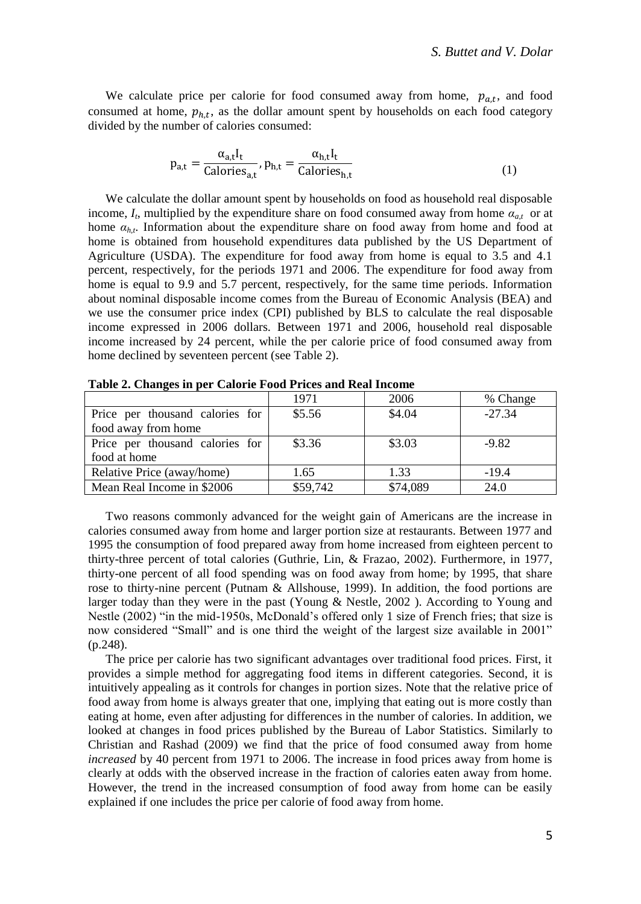We calculate price per calorie for food consumed away from home,  $p_{a,t}$ , and food consumed at home,  $p_{h,t}$ , as the dollar amount spent by households on each food category divided by the number of calories consumed:

$$
p_{a,t} = \frac{\alpha_{a,t} I_t}{\text{Calories}_{a,t}}, p_{h,t} = \frac{\alpha_{h,t} I_t}{\text{Calories}_{h,t}}
$$
(1)

We calculate the dollar amount spent by households on food as household real disposable income,  $I_t$ , multiplied by the expenditure share on food consumed away from home  $a_{a,t}$  or at home  $a_{h,t}$ . Information about the expenditure share on food away from home and food at home is obtained from household expenditures data published by the US Department of Agriculture (USDA). The expenditure for food away from home is equal to 3.5 and 4.1 percent, respectively, for the periods 1971 and 2006. The expenditure for food away from home is equal to 9.9 and 5.7 percent, respectively, for the same time periods. Information about nominal disposable income comes from the Bureau of Economic Analysis (BEA) and we use the consumer price index (CPI) published by BLS to calculate the real disposable income expressed in 2006 dollars. Between 1971 and 2006, household real disposable income increased by 24 percent, while the per calorie price of food consumed away from home declined by seventeen percent (see Table 2).

|                                 | 1971     | 2006     | % Change |
|---------------------------------|----------|----------|----------|
| Price per thousand calories for | \$5.56   | \$4.04   | $-27.34$ |
| food away from home             |          |          |          |
| Price per thousand calories for | \$3.36   | \$3.03   | $-9.82$  |
| food at home                    |          |          |          |
| Relative Price (away/home)      | 1.65     | 1.33     | $-19.4$  |
| Mean Real Income in \$2006      | \$59,742 | \$74,089 | 24.0     |

**Table 2. Changes in per Calorie Food Prices and Real Income**

Two reasons commonly advanced for the weight gain of Americans are the increase in calories consumed away from home and larger portion size at restaurants. Between 1977 and 1995 the consumption of food prepared away from home increased from eighteen percent to thirty-three percent of total calories (Guthrie, Lin, & Frazao, 2002). Furthermore, in 1977, thirty-one percent of all food spending was on food away from home; by 1995, that share rose to thirty-nine percent (Putnam & Allshouse, 1999). In addition, the food portions are larger today than they were in the past (Young  $\&$  Nestle, 2002). According to Young and Nestle (2002) "in the mid-1950s, McDonald's offered only 1 size of French fries; that size is now considered "Small" and is one third the weight of the largest size available in 2001" (p.248).

The price per calorie has two significant advantages over traditional food prices. First, it provides a simple method for aggregating food items in different categories. Second, it is intuitively appealing as it controls for changes in portion sizes. Note that the relative price of food away from home is always greater that one, implying that eating out is more costly than eating at home, even after adjusting for differences in the number of calories. In addition, we looked at changes in food prices published by the Bureau of Labor Statistics. Similarly to Christian and Rashad (2009) we find that the price of food consumed away from home *increased* by 40 percent from 1971 to 2006. The increase in food prices away from home is clearly at odds with the observed increase in the fraction of calories eaten away from home. However, the trend in the increased consumption of food away from home can be easily explained if one includes the price per calorie of food away from home.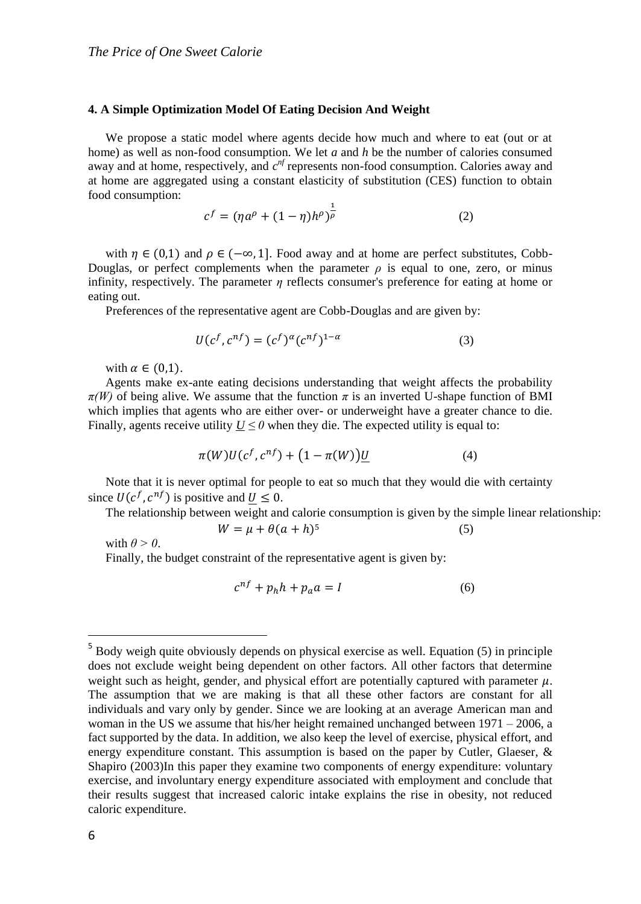#### **4. A Simple Optimization Model Of Eating Decision And Weight**

We propose a static model where agents decide how much and where to eat (out or at home) as well as non-food consumption. We let *a* and *h* be the number of calories consumed away and at home, respectively, and  $c^{nf}$  represents non-food consumption. Calories away and at home are aggregated using a constant elasticity of substitution (CES) function to obtain food consumption:

$$
c^f = (\eta a^{\rho} + (1 - \eta)h^{\rho})^{\frac{1}{\rho}}
$$
 (2)

with  $\eta \in (0,1)$  and  $\rho \in (-\infty,1]$ . Food away and at home are perfect substitutes, Cobb-Douglas, or perfect complements when the parameter  $\rho$  is equal to one, zero, or minus infinity, respectively. The parameter *η* reflects consumer's preference for eating at home or eating out.

Preferences of the representative agent are Cobb-Douglas and are given by:

$$
U(cf, cnf) = (cf)\alpha (cnf)1-\alpha
$$
 (3)

with  $\alpha \in (0,1)$ .

Agents make ex-ante eating decisions understanding that weight affects the probability  $\pi(W)$  of being alive. We assume that the function  $\pi$  is an inverted U-shape function of BMI which implies that agents who are either over- or underweight have a greater chance to die. Finally, agents receive utility  $U \leq 0$  when they die. The expected utility is equal to:

$$
\pi(W)U(c^f, c^{nf}) + \left(1 - \pi(W)\right)U\tag{4}
$$

Note that it is never optimal for people to eat so much that they would die with certainty since  $U(c^f, c^{nf})$  is positive and  $U \leq 0$ .

The relationship between weight and calorie consumption is given by the simple linear relationship:

$$
W = \mu + \theta(a+h)^5 \tag{5}
$$

with  $\theta > 0$ .

Finally, the budget constraint of the representative agent is given by:

$$
c^{nf} + p_h h + p_a a = I \tag{6}
$$

 $\overline{a}$ 

<sup>&</sup>lt;sup>5</sup> Body weigh quite obviously depends on physical exercise as well. Equation (5) in principle does not exclude weight being dependent on other factors. All other factors that determine weight such as height, gender, and physical effort are potentially captured with parameter  $\mu$ . The assumption that we are making is that all these other factors are constant for all individuals and vary only by gender. Since we are looking at an average American man and woman in the US we assume that his/her height remained unchanged between  $1971 - 2006$ , a fact supported by the data. In addition, we also keep the level of exercise, physical effort, and energy expenditure constant. This assumption is based on the paper by Cutler, Glaeser,  $\&$ Shapiro (2003)In this paper they examine two components of energy expenditure: voluntary exercise, and involuntary energy expenditure associated with employment and conclude that their results suggest that increased caloric intake explains the rise in obesity, not reduced caloric expenditure.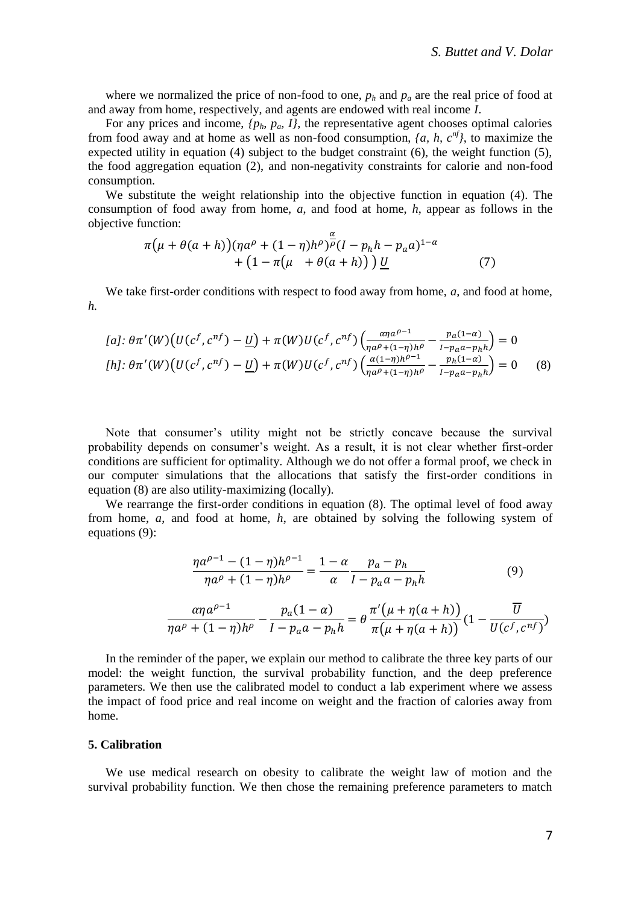where we normalized the price of non-food to one, *p<sup>h</sup>* and *p<sup>a</sup>* are the real price of food at and away from home, respectively, and agents are endowed with real income *I*.

For any prices and income,  $\{p_h, p_\omega, I\}$ , the representative agent chooses optimal calories from food away and at home as well as non-food consumption,  $\{a, h, c^{nf}\}$ , to maximize the expected utility in equation (4) subject to the budget constraint (6), the weight function (5), the food aggregation equation (2), and non-negativity constraints for calorie and non-food consumption.

We substitute the weight relationship into the objective function in equation (4). The consumption of food away from home, *a*, and food at home, *h*, appear as follows in the objective function:

$$
\pi(\mu + \theta(a+h))(\eta a^{\rho} + (1-\eta)h^{\rho})^{\frac{\alpha}{\rho}}(I - p_h h - p_a a)^{1-\alpha} + (1 - \pi(\mu + \theta(a+h))) \underline{U}
$$
 (7)

We take first-order conditions with respect to food away from home, *a*, and food at home, *h.*

$$
[a]: \theta \pi'(W) \left( U(c^f, c^{nf}) - \underline{U} \right) + \pi(W) U(c^f, c^{nf}) \left( \frac{\alpha \eta a^{\rho-1}}{\eta a^{\rho} + (1-\eta)h^{\rho}} - \frac{p_a(1-\alpha)}{1 - p_a a - p_h h} \right) = 0
$$
  
\n
$$
[h]: \theta \pi'(W) \left( U(c^f, c^{nf}) - \underline{U} \right) + \pi(W) U(c^f, c^{nf}) \left( \frac{\alpha (1-\eta)h^{\rho-1}}{\eta a^{\rho} + (1-\eta)h^{\rho}} - \frac{p_h(1-\alpha)}{1 - p_a a - p_h h} \right) = 0
$$
 (8)

Note that consumer's utility might not be strictly concave because the survival probability depends on consumer's weight. As a result, it is not clear whether first-order conditions are sufficient for optimality. Although we do not offer a formal proof, we check in our computer simulations that the allocations that satisfy the first-order conditions in equation (8) are also utility-maximizing (locally).

We rearrange the first-order conditions in equation (8). The optimal level of food away from home, *a*, and food at home, *h*, are obtained by solving the following system of equations (9):

$$
\frac{\eta a^{\rho-1} - (1 - \eta)h^{\rho-1}}{\eta a^{\rho} + (1 - \eta)h^{\rho}} = \frac{1 - \alpha}{\alpha} \frac{p_a - p_h}{I - p_a a - p_h h}
$$
(9)

$$
\frac{\alpha\eta a^{\rho-1}}{\eta a^{\rho}+(1-\eta)h^{\rho}}-\frac{p_a(1-\alpha)}{1-p_a a-p_h h}=\theta \frac{\pi'\big(\mu+\eta(a+h)\big)}{\pi\big(\mu+\eta(a+h)\big)}(1-\frac{\overline{U}}{U(c^f,c^{nf})})
$$

In the reminder of the paper, we explain our method to calibrate the three key parts of our model: the weight function, the survival probability function, and the deep preference parameters. We then use the calibrated model to conduct a lab experiment where we assess the impact of food price and real income on weight and the fraction of calories away from home.

#### **5. Calibration**

We use medical research on obesity to calibrate the weight law of motion and the survival probability function. We then chose the remaining preference parameters to match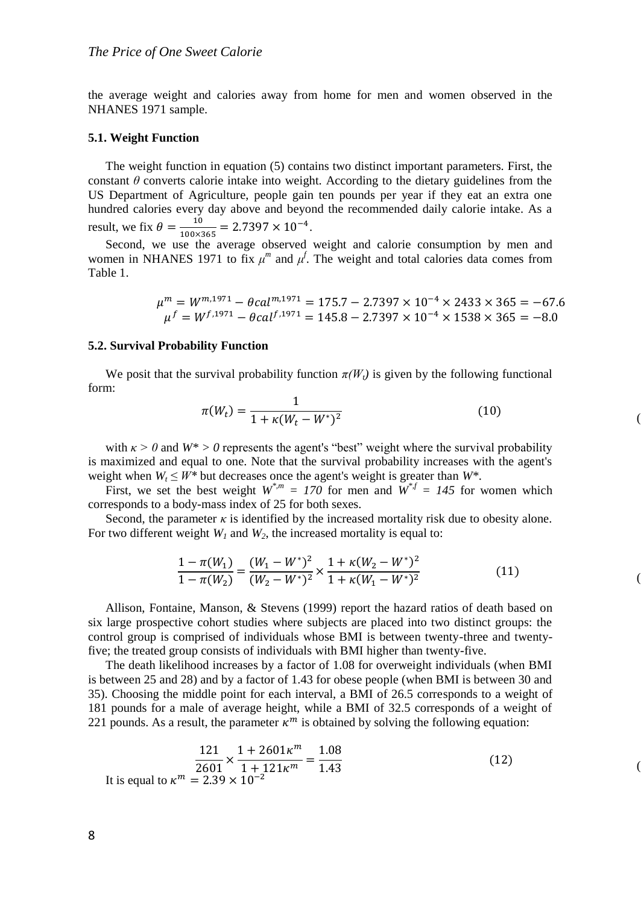the average weight and calories away from home for men and women observed in the NHANES 1971 sample.

#### **5.1. Weight Function**

The weight function in equation (5) contains two distinct important parameters. First, the constant  $\theta$  converts calorie intake into weight. According to the dietary guidelines from the US Department of Agriculture, people gain ten pounds per year if they eat an extra one hundred calories every day above and beyond the recommended daily calorie intake. As a result, we fix  $\theta = \frac{10}{100}$  $\frac{10}{100\times365} = 2.7397 \times 10^{-4}.$ 

Second, we use the average observed weight and calorie consumption by men and women in NHANES 1971 to fix  $\mu^m$  and  $\mu^f$ . The weight and total calories data comes from Table 1.

$$
\mu^{m} = W^{m,1971} - \theta c a l^{m,1971} = 175.7 - 2.7397 \times 10^{-4} \times 2433 \times 365 = -67.6
$$
  

$$
\mu^{f} = W^{f,1971} - \theta c a l^{f,1971} = 145.8 - 2.7397 \times 10^{-4} \times 1538 \times 365 = -8.0
$$

### **5.2. Survival Probability Function**

We posit that the survival probability function  $\pi(W_t)$  is given by the following functional form:

$$
\pi(W_t) = \frac{1}{1 + \kappa (W_t - W^*)^2}
$$
\n(10)

 $($ 

 $($ 

 $($ 

with  $\kappa > 0$  and  $W^* > 0$  represents the agent's "best" weight where the survival probability is maximized and equal to one. Note that the survival probability increases with the agent's weight when  $W_t \leq W^*$  but decreases once the agent's weight is greater than  $W^*$ .

First, we set the best weight  $W^{*,m} = 170$  for men and  $W^{*,f} = 145$  for women which corresponds to a body-mass index of 25 for both sexes.

Second, the parameter  $\kappa$  is identified by the increased mortality risk due to obesity alone. For two different weight  $W_l$  and  $W_2$ , the increased mortality is equal to:

$$
\frac{1 - \pi(W_1)}{1 - \pi(W_2)} = \frac{(W_1 - W^*)^2}{(W_2 - W^*)^2} \times \frac{1 + \kappa(W_2 - W^*)^2}{1 + \kappa(W_1 - W^*)^2}
$$
(11)

Allison, Fontaine, Manson, & Stevens (1999) report the hazard ratios of death based on six large prospective cohort studies where subjects are placed into two distinct groups: the control group is comprised of individuals whose BMI is between twenty-three and twentyfive; the treated group consists of individuals with BMI higher than twenty-five.

The death likelihood increases by a factor of 1.08 for overweight individuals (when BMI is between 25 and 28) and by a factor of 1.43 for obese people (when BMI is between 30 and 35). Choosing the middle point for each interval, a BMI of 26.5 corresponds to a weight of 181 pounds for a male of average height, while a BMI of 32.5 corresponds of a weight of 221 pounds. As a result, the parameter  $\kappa^m$  is obtained by solving the following equation:

$$
\frac{121}{2601} \times \frac{1 + 2601 \kappa^m}{1 + 121 \kappa^m} = \frac{1.08}{1.43}
$$
 (12)  
It is equal to  $\kappa^m = 2.39 \times 10^{-2}$ 

8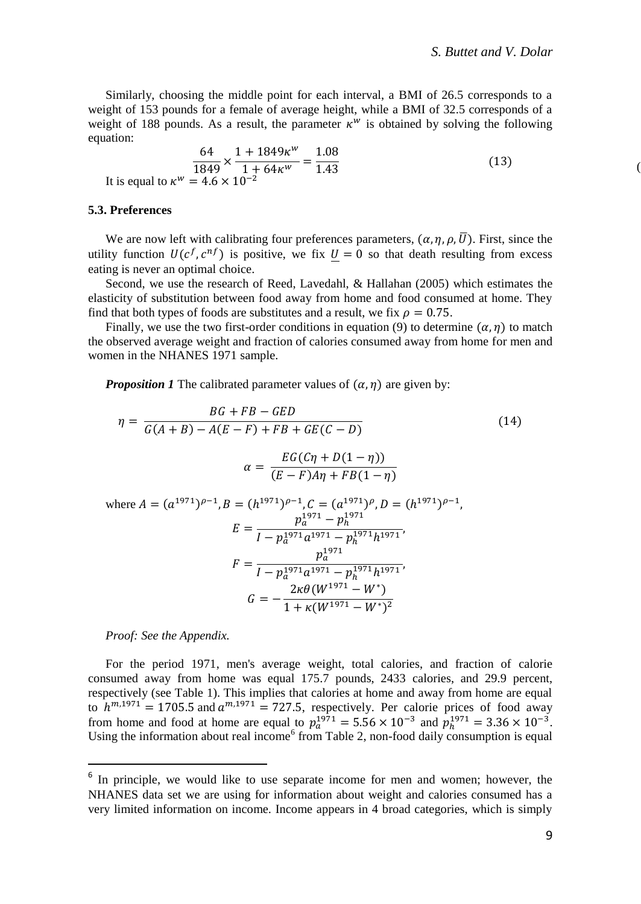$($ 

Similarly, choosing the middle point for each interval, a BMI of 26.5 corresponds to a weight of 153 pounds for a female of average height, while a BMI of 32.5 corresponds of a weight of 188 pounds. As a result, the parameter  $\kappa^w$  is obtained by solving the following equation:

$$
\frac{64}{1849} \times \frac{1 + 1849 \kappa^w}{1 + 64 \kappa^w} = \frac{1.08}{1.43}
$$
  
It is equal to  $\kappa^w = 4.6 \times 10^{-2}$  (13)

#### **5.3. Preferences**

We are now left with calibrating four preferences parameters,  $(\alpha, \eta, \rho, \overline{U})$ . First, since the utility function  $U(c^f, c^{nf})$  is positive, we fix  $U = 0$  so that death resulting from excess eating is never an optimal choice.

Second, we use the research of Reed, Lavedahl, & Hallahan (2005) which estimates the elasticity of substitution between food away from home and food consumed at home. They find that both types of foods are substitutes and a result, we fix  $\rho = 0.75$ .

Finally, we use the two first-order conditions in equation (9) to determine  $(\alpha, \eta)$  to match the observed average weight and fraction of calories consumed away from home for men and women in the NHANES 1971 sample.

*Proposition 1* The calibrated parameter values of  $(\alpha, \eta)$  are given by:

$$
\eta = \frac{BG + FB - GED}{G(A + B) - A(E - F) + FB + GE(C - D)}
$$
(14)  

$$
\alpha = \frac{EG(C\eta + D(1 - \eta))}{(E - F)A\eta + FB(1 - \eta)}
$$
  
where  $A = (a^{1971})^{\rho - 1}$ ,  $B = (h^{1971})^{\rho - 1}$ ,  $C = (a^{1971})^{\rho}$ ,  $D = (h^{1971})^{\rho - 1}$ ,  

$$
E = \frac{p_a^{1971} - p_h^{1971}}{I - p_a^{1971}a^{1971} - p_h^{1971}h^{1971}}
$$

$$
F = \frac{p_a^{1971}}{I - p_a^{1971}a^{1971} - p_h^{1971}h^{1971}}
$$

$$
G = -\frac{2\kappa\theta (W^{1971} - W^*)}{1 + \kappa(W^{1971} - W^*)^2}
$$
(14)

*Proof: See the Appendix.*

For the period 1971, men's average weight, total calories, and fraction of calorie consumed away from home was equal 175.7 pounds, 2433 calories, and 29.9 percent, respectively (see Table 1). This implies that calories at home and away from home are equal to  $h^{m,1971} = 1705.5$  and  $a^{m,1971} = 727.5$ , respectively. Per calorie prices of food away from home and food at home are equal to  $p_a^{1971} = 5.56 \times 10^{-3}$  and  $p_h^{1971} = 3.36 \times 10^{-3}$ . Using the information about real income<sup>6</sup> from Table 2, non-food daily consumption is equal

<sup>&</sup>lt;sup>6</sup> In principle, we would like to use separate income for men and women; however, the NHANES data set we are using for information about weight and calories consumed has a very limited information on income. Income appears in 4 broad categories, which is simply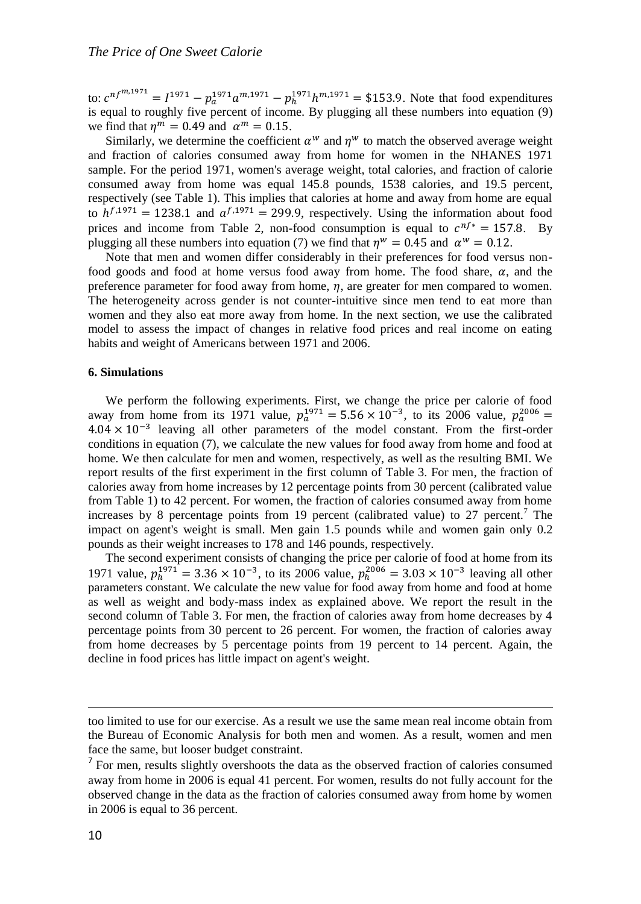to:  $c^{nf^{m,1971}} = I^{1971} - p_a^{1971}a^{m,1971} - p_h^{1971}h^{m,1971} = $153.9$ . Note that food expenditures is equal to roughly five percent of income. By plugging all these numbers into equation (9) we find that  $\eta^m = 0.49$  and  $\alpha^m = 0.15$ .

Similarly, we determine the coefficient  $\alpha^w$  and  $\eta^w$  to match the observed average weight and fraction of calories consumed away from home for women in the NHANES 1971 sample. For the period 1971, women's average weight, total calories, and fraction of calorie consumed away from home was equal 145.8 pounds, 1538 calories, and 19.5 percent, respectively (see Table 1). This implies that calories at home and away from home are equal to  $h^{f,1971} = 1238.1$  and  $a^{f,1971} = 299.9$ , respectively. Using the information about food prices and income from Table 2, non-food consumption is equal to  $c^{nf*} = 157.8$ . By plugging all these numbers into equation (7) we find that  $\eta^w = 0.45$  and  $\alpha^w = 0.12$ .

Note that men and women differ considerably in their preferences for food versus nonfood goods and food at home versus food away from home. The food share,  $\alpha$ , and the preference parameter for food away from home,  $\eta$ , are greater for men compared to women. The heterogeneity across gender is not counter-intuitive since men tend to eat more than women and they also eat more away from home. In the next section, we use the calibrated model to assess the impact of changes in relative food prices and real income on eating habits and weight of Americans between 1971 and 2006.

### **6. Simulations**

We perform the following experiments. First, we change the price per calorie of food away from home from its 1971 value,  $p_a^{1971} = 5.56 \times 10^{-3}$ , to its 2006 value,  $p_a^{2006} =$ 4.04 × 10−3 leaving all other parameters of the model constant. From the first-order conditions in equation (7), we calculate the new values for food away from home and food at home. We then calculate for men and women, respectively, as well as the resulting BMI. We report results of the first experiment in the first column of Table 3. For men, the fraction of calories away from home increases by 12 percentage points from 30 percent (calibrated value from Table 1) to 42 percent. For women, the fraction of calories consumed away from home increases by 8 percentage points from 19 percent (calibrated value) to 27 percent.<sup>7</sup> The impact on agent's weight is small. Men gain 1.5 pounds while and women gain only 0.2 pounds as their weight increases to 178 and 146 pounds, respectively.

The second experiment consists of changing the price per calorie of food at home from its 1971 value,  $p_h^{1971} = 3.36 \times 10^{-3}$ , to its 2006 value,  $p_h^{2006} = 3.03 \times 10^{-3}$  leaving all other parameters constant. We calculate the new value for food away from home and food at home as well as weight and body-mass index as explained above. We report the result in the second column of Table 3. For men, the fraction of calories away from home decreases by 4 percentage points from 30 percent to 26 percent. For women, the fraction of calories away from home decreases by 5 percentage points from 19 percent to 14 percent. Again, the decline in food prices has little impact on agent's weight.

 $\overline{\phantom{a}}$ 

too limited to use for our exercise. As a result we use the same mean real income obtain from the Bureau of Economic Analysis for both men and women. As a result, women and men face the same, but looser budget constraint.

 $<sup>7</sup>$  For men, results slightly overshoots the data as the observed fraction of calories consumed</sup> away from home in 2006 is equal 41 percent. For women, results do not fully account for the observed change in the data as the fraction of calories consumed away from home by women in 2006 is equal to 36 percent.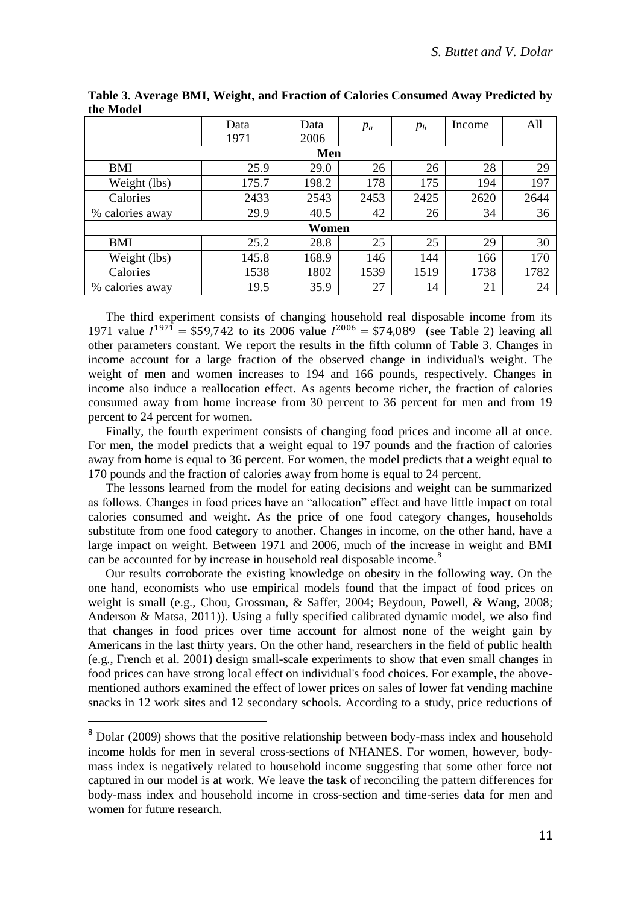|                 | Data  | Data  | $p_a$ | $p_h$ | Income | All  |  |  |  |
|-----------------|-------|-------|-------|-------|--------|------|--|--|--|
|                 | 1971  | 2006  |       |       |        |      |  |  |  |
| Men             |       |       |       |       |        |      |  |  |  |
| BMI             | 25.9  | 29.0  | 26    | 26    | 28     | 29   |  |  |  |
| Weight (lbs)    | 175.7 | 198.2 | 178   | 175   | 194    | 197  |  |  |  |
| Calories        | 2433  | 2543  | 2453  | 2425  | 2620   | 2644 |  |  |  |
| % calories away | 29.9  | 40.5  | 42    | 26    | 34     | 36   |  |  |  |
| Women           |       |       |       |       |        |      |  |  |  |
| BMI             | 25.2  | 28.8  | 25    | 25    | 29     | 30   |  |  |  |
| Weight (lbs)    | 145.8 | 168.9 | 146   | 144   | 166    | 170  |  |  |  |
| Calories        | 1538  | 1802  | 1539  | 1519  | 1738   | 1782 |  |  |  |
| % calories away | 19.5  | 35.9  | 27    | 14    | 21     | 24   |  |  |  |

**Table 3. Average BMI, Weight, and Fraction of Calories Consumed Away Predicted by the Model**

The third experiment consists of changing household real disposable income from its 1971 value  $I^{1971} = $59,742$  to its 2006 value  $I^{2006} = $74,089$  (see Table 2) leaving all other parameters constant. We report the results in the fifth column of Table 3. Changes in income account for a large fraction of the observed change in individual's weight. The weight of men and women increases to 194 and 166 pounds, respectively. Changes in income also induce a reallocation effect. As agents become richer, the fraction of calories consumed away from home increase from 30 percent to 36 percent for men and from 19 percent to 24 percent for women.

Finally, the fourth experiment consists of changing food prices and income all at once. For men, the model predicts that a weight equal to 197 pounds and the fraction of calories away from home is equal to 36 percent. For women, the model predicts that a weight equal to 170 pounds and the fraction of calories away from home is equal to 24 percent.

The lessons learned from the model for eating decisions and weight can be summarized as follows. Changes in food prices have an "allocation" effect and have little impact on total calories consumed and weight. As the price of one food category changes, households substitute from one food category to another. Changes in income, on the other hand, have a large impact on weight. Between 1971 and 2006, much of the increase in weight and BMI can be accounted for by increase in household real disposable income.<sup>8</sup>

Our results corroborate the existing knowledge on obesity in the following way. On the one hand, economists who use empirical models found that the impact of food prices on weight is small (e.g., Chou, Grossman, & Saffer, 2004; Beydoun, Powell, & Wang, 2008; Anderson & Matsa, 2011)). Using a fully specified calibrated dynamic model, we also find that changes in food prices over time account for almost none of the weight gain by Americans in the last thirty years. On the other hand, researchers in the field of public health (e.g., French et al. 2001) design small-scale experiments to show that even small changes in food prices can have strong local effect on individual's food choices. For example, the abovementioned authors examined the effect of lower prices on sales of lower fat vending machine snacks in 12 work sites and 12 secondary schools. According to a study, price reductions of

 $\overline{a}$ 

<sup>&</sup>lt;sup>8</sup> Dolar (2009) shows that the positive relationship between body-mass index and household income holds for men in several cross-sections of NHANES. For women, however, bodymass index is negatively related to household income suggesting that some other force not captured in our model is at work. We leave the task of reconciling the pattern differences for body-mass index and household income in cross-section and time-series data for men and women for future research.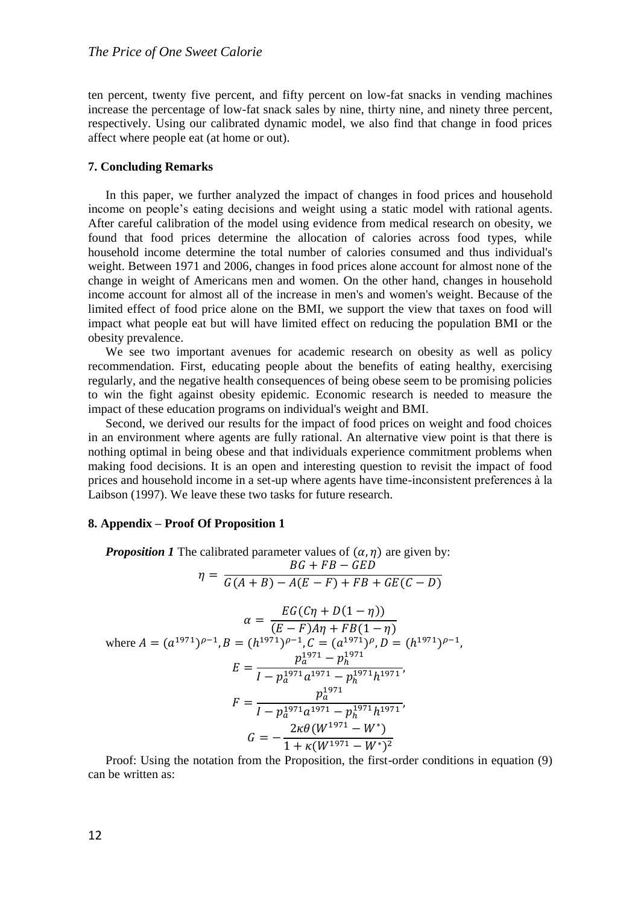ten percent, twenty five percent, and fifty percent on low-fat snacks in vending machines increase the percentage of low-fat snack sales by nine, thirty nine, and ninety three percent, respectively. Using our calibrated dynamic model, we also find that change in food prices affect where people eat (at home or out).

## **7. Concluding Remarks**

In this paper, we further analyzed the impact of changes in food prices and household income on people's eating decisions and weight using a static model with rational agents. After careful calibration of the model using evidence from medical research on obesity, we found that food prices determine the allocation of calories across food types, while household income determine the total number of calories consumed and thus individual's weight. Between 1971 and 2006, changes in food prices alone account for almost none of the change in weight of Americans men and women. On the other hand, changes in household income account for almost all of the increase in men's and women's weight. Because of the limited effect of food price alone on the BMI, we support the view that taxes on food will impact what people eat but will have limited effect on reducing the population BMI or the obesity prevalence.

We see two important avenues for academic research on obesity as well as policy recommendation. First, educating people about the benefits of eating healthy, exercising regularly, and the negative health consequences of being obese seem to be promising policies to win the fight against obesity epidemic. Economic research is needed to measure the impact of these education programs on individual's weight and BMI.

Second, we derived our results for the impact of food prices on weight and food choices in an environment where agents are fully rational. An alternative view point is that there is nothing optimal in being obese and that individuals experience commitment problems when making food decisions. It is an open and interesting question to revisit the impact of food prices and household income in a set-up where agents have time-inconsistent preferences à la Laibson (1997). We leave these two tasks for future research.

#### **8. Appendix – Proof Of Proposition 1**

*Proposition 1* The calibrated parameter values of  $(\alpha, \eta)$  are given by:  $\overline{p}C + \overline{E}P = \overline{C}F\overline{F}$ 

$$
\eta = \frac{Bq + Fb - qED}{G(A+B) - A(E-F) + FB + GE(C-D)}
$$

$$
\alpha = \frac{EG(C\eta + D(1 - \eta))}{(E - F)A\eta + FB(1 - \eta)}
$$
  
where  $A = (a^{1971})^{\rho - 1}$ ,  $B = (h^{1971})^{\rho - 1}$ ,  $C = (a^{1971})^{\rho}$ ,  $D = (h^{1971})^{\rho - 1}$ ,  

$$
E = \frac{p_a^{1971} - p_h^{1971}}{I - p_a^{1971}a^{1971} - p_h^{1971}h^{1971}}
$$
,  

$$
F = \frac{p_a^{1971}}{I - p_a^{1971}a^{1971} - p_h^{1971}h^{1971}}
$$
,  

$$
G = -\frac{2\kappa\theta(W^{1971} - W^*)}{1 + \kappa(W^{1971} - W^*)^2}
$$

Proof: Using the notation from the Proposition, the first-order conditions in equation (9) can be written as: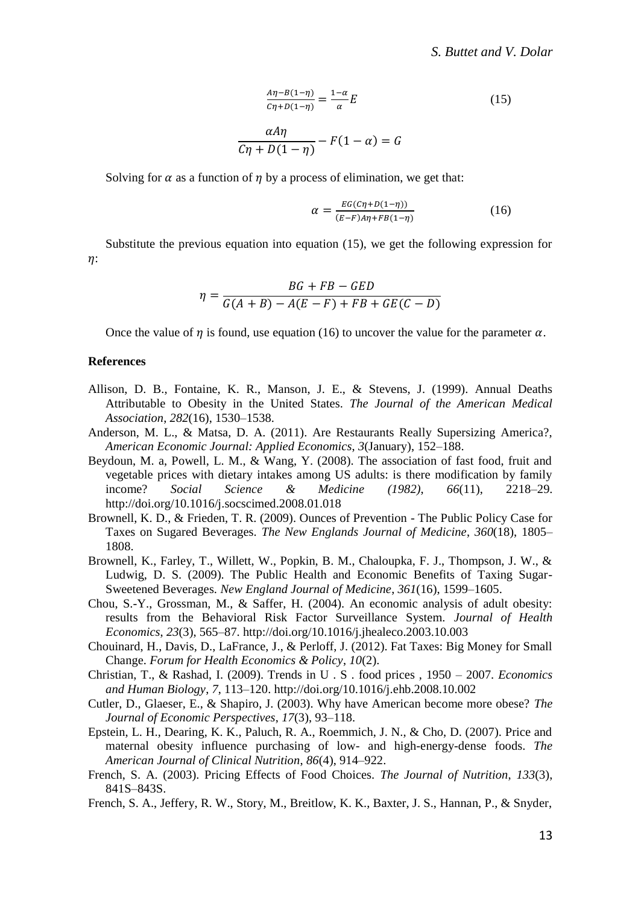$$
\frac{A\eta - B(1-\eta)}{C\eta + D(1-\eta)} = \frac{1-\alpha}{\alpha}E
$$
\n
$$
\frac{\alpha A\eta}{C\eta + D(1-\eta)} - F(1-\alpha) = G
$$
\n(15)

Solving for  $\alpha$  as a function of  $\eta$  by a process of elimination, we get that:

$$
\alpha = \frac{EG(c\eta + D(1-\eta))}{(E-F)A\eta + FB(1-\eta)}
$$
(16)

Substitute the previous equation into equation (15), we get the following expression for  $n$ :

$$
\eta = \frac{BG + FB - GED}{G(A+B) - A(E-F) + FB + GE(C-D)}
$$

Once the value of  $\eta$  is found, use equation (16) to uncover the value for the parameter  $\alpha$ .

## **References**

- Allison, D. B., Fontaine, K. R., Manson, J. E., & Stevens, J. (1999). Annual Deaths Attributable to Obesity in the United States. *The Journal of the American Medical Association*, *282*(16), 1530–1538.
- Anderson, M. L., & Matsa, D. A. (2011). Are Restaurants Really Supersizing America?, *American Economic Journal: Applied Economics*, *3*(January), 152–188.
- Beydoun, M. a, Powell, L. M., & Wang, Y. (2008). The association of fast food, fruit and vegetable prices with dietary intakes among US adults: is there modification by family income? *Social Science & Medicine (1982)*, *66*(11), 2218–29. http://doi.org/10.1016/j.socscimed.2008.01.018
- Brownell, K. D., & Frieden, T. R. (2009). Ounces of Prevention The Public Policy Case for Taxes on Sugared Beverages. *The New Englands Journal of Medicine*, *360*(18), 1805– 1808.
- Brownell, K., Farley, T., Willett, W., Popkin, B. M., Chaloupka, F. J., Thompson, J. W., & Ludwig, D. S. (2009). The Public Health and Economic Benefits of Taxing Sugar-Sweetened Beverages. *New England Journal of Medicine*, *361*(16), 1599–1605.
- Chou, S.-Y., Grossman, M., & Saffer, H. (2004). An economic analysis of adult obesity: results from the Behavioral Risk Factor Surveillance System. *Journal of Health Economics*, *23*(3), 565–87. http://doi.org/10.1016/j.jhealeco.2003.10.003
- Chouinard, H., Davis, D., LaFrance, J., & Perloff, J. (2012). Fat Taxes: Big Money for Small Change. *Forum for Health Economics & Policy*, *10*(2).
- Christian, T., & Rashad, I. (2009). Trends in U . S . food prices , 1950 2007. *Economics and Human Biology*, *7*, 113–120. http://doi.org/10.1016/j.ehb.2008.10.002
- Cutler, D., Glaeser, E., & Shapiro, J. (2003). Why have American become more obese? *The Journal of Economic Perspectives*, *17*(3), 93–118.
- Epstein, L. H., Dearing, K. K., Paluch, R. A., Roemmich, J. N., & Cho, D. (2007). Price and maternal obesity influence purchasing of low- and high-energy-dense foods. *The American Journal of Clinical Nutrition*, *86*(4), 914–922.
- French, S. A. (2003). Pricing Effects of Food Choices. *The Journal of Nutrition*, *133*(3), 841S–843S.
- French, S. A., Jeffery, R. W., Story, M., Breitlow, K. K., Baxter, J. S., Hannan, P., & Snyder,